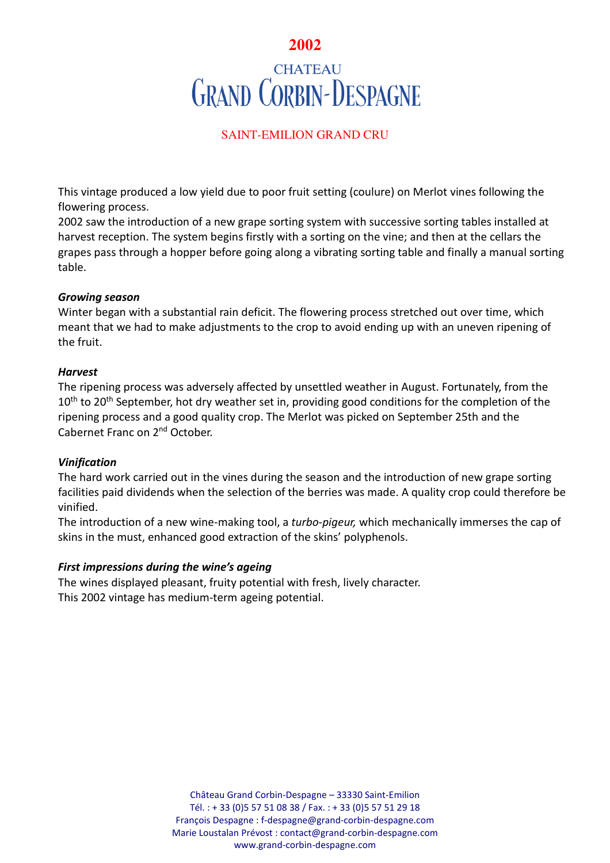# **2002 CHATEAU GRAND CORBIN-DESPAGNE**

## SAINT-EMILION GRAND CRU

This vintage produced a low yield due to poor fruit setting (coulure) on Merlot vines following the flowering process.

2002 saw the introduction of a new grape sorting system with successive sorting tables installed at harvest reception. The system begins firstly with a sorting on the vine; and then at the cellars the grapes pass through a hopper before going along a vibrating sorting table and finally a manual sorting table.

#### *Growing season*

Winter began with a substantial rain deficit. The flowering process stretched out over time, which meant that we had to make adjustments to the crop to avoid ending up with an uneven ripening of the fruit.

#### *Harvest*

The ripening process was adversely affected by unsettled weather in August. Fortunately, from the 10<sup>th</sup> to 20<sup>th</sup> September, hot dry weather set in, providing good conditions for the completion of the ripening process and a good quality crop. The Merlot was picked on September 25th and the Cabernet Franc on 2nd October.

#### *Vinification*

The hard work carried out in the vines during the season and the introduction of new grape sorting facilities paid dividends when the selection of the berries was made. A quality crop could therefore be vinified.

The introduction of a new wine-making tool, a *turbo-pigeur,* which mechanically immerses the cap of skins in the must, enhanced good extraction of the skins' polyphenols.

#### *First impressions during the wine's ageing*

The wines displayed pleasant, fruity potential with fresh, lively character. This 2002 vintage has medium-term ageing potential.